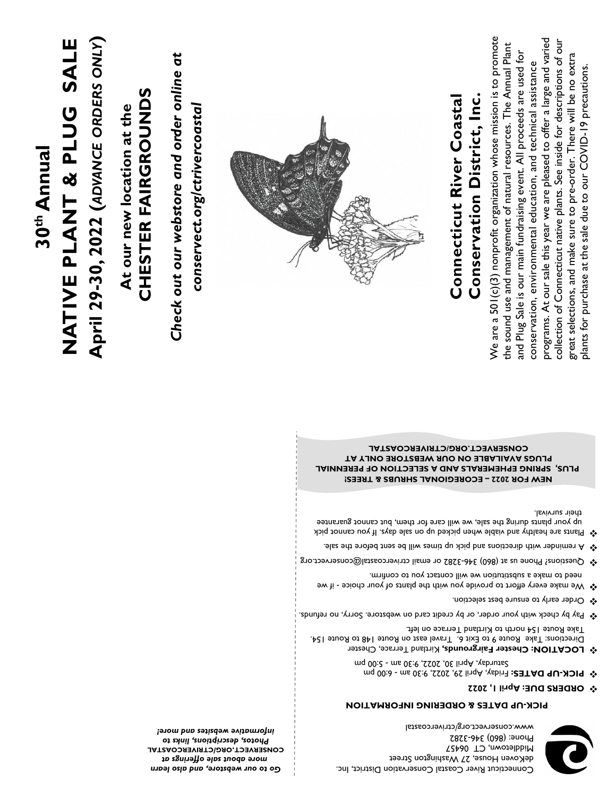*Go to our webstore, and also learn more about sale offerings at* **CTRIVERCOASTAL / ORG . CONSERVECT** *Photos, descriptions, links to informative websites and more!*



### **PICK-UP DATES & ORDERING INFORMATION**

deKoven House, 27 Washington Street

www.conservect.org/ctrivercoastal

Connecticut River Coastal Conservation District, Inc.

5:00 pm - Saturday, April 30, 2022, 9:30 am

- **DUE: April 1, 2022 ORDERS** ❖
- $\bullet$  **PICK-UP DATES:** Friday, April 29, 2022, 9:30 am 6:00 pm

Middletown, CT 06457 **Phone: (860) 346-3282** 

- $\mathbf{\hat{v}}$  **LOCATION: Chester Fairgrounds, Kirtland Terrace, Chester** Directions: Take Route 9 to Exit 6. Travel east on Route 148 to Route 154. Take Route 154 north to Kirtland Terrace on left.
- Pay by check with your order, or by credit card on webstore. Sorry, no refunds.
- Order early to ensure best selection. ❖
- $\clubsuit$  We make every effort to provide you with the plants of your choice if we need to make a substitution we will contact you to confirm.
- $\clubsuit$  Questions? Phone us at (860) 346-3282 or email ctrivercoastal@conservect.org
- $\sim$  A reminder with directions and pick up times will be sent before the sale.
- Plants are healthy and viable when picked up on sale days. If you cannot pick up your plants during the sale, we will care for them, but cannot guarantee their survival.

**ECOREGIONAL SHRUBS & TREES!** *–* **NEW FOR 2022 PLUS, SPRING EPHEMERALS AND A SELECTION OF PERENNIAL PLUGS AVAILABLE ON OUR WEBSTORE ONLY AT EQUSERVECT.ORG/CTRIVERCOASTAL** 

# **30th Annual NATIVE PLANT & PLUG SAL** NATIVE PLANT & PLUG SALE

**April 29 -30, 2022 (***ADVANCE ORDERS ONLY***)**

At our new location at the **At our new location at the**

# CHESTER FAIRGROUNDS **CHESTER FAIRGROUNDS**

*Check out our webstore and order online at*  Check out our webstore and order online at

conservect.org/ctrivercoastal *conservect.org/ctrivercoastal*



# Conservation District, Inc. **Conservation District, Inc. Connecticut River Coastal** Connecticut River Coastal

We are a 501(c)(3) nonprofit organization whose mission is to promote We are a  $501(c)(3)$  nonprofit organization whose mission is to promote programs. At our sale this year we are pleased to offer a large and varied collection of Connecticut native plants. See inside for descriptions of our programs. At our sale this year we are pleased to offer a large and varied collection of Connecticut native plants. See inside for descriptions of our the sound use and management of natural resources. The Annual Plant the sound use and management of natural resources. The Annual Plant and Plug Sale is our main fundraising event. All proceeds are used for and Plug Sale is our main fundraising event. All proceeds are used for great selections, and make sure to pre-order. There will be no extra great selections, and make sure to pre-order. There will be no extra conservation, environmental education, and technical assistance conservation, environmental education, and technical assistance blants for purchase at the sale due to our COVID-19 precautions. plants for purchase at the sale due to our COVID-19 precautions.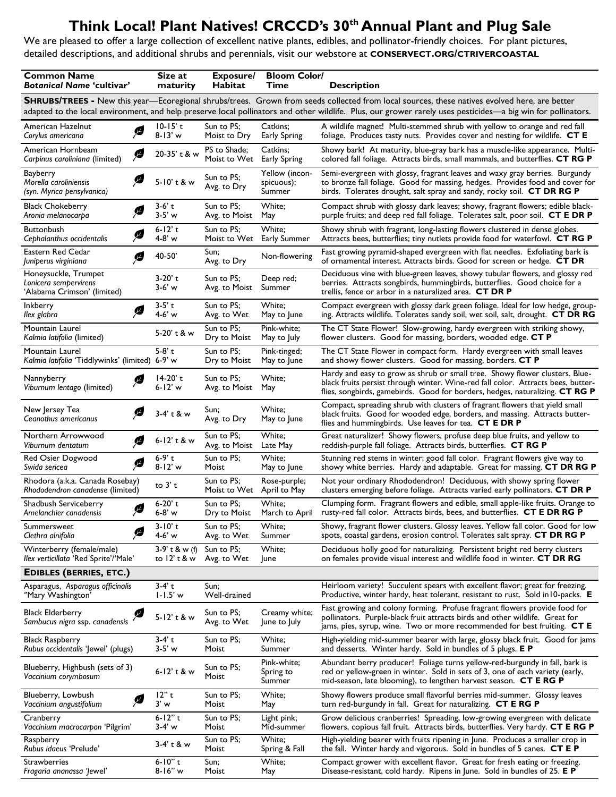# **Think Local! Plant Natives! CRCCD's 30th Annual Plant and Plug Sale**

We are pleased to offer a large collection of excellent native plants, edibles, and pollinator-friendly choices. For plant pictures, detailed descriptions, and additional shrubs and perennials, visit our webstore at **CONSERVECT.ORG/CTRIVERCOASTAL**

| <b>Common Name</b><br><b>Botanical Name 'cultivar'</b>                                                                                                       | Size at<br>maturity                | Exposure/<br><b>Habitat</b>  | <b>Bloom Color/</b><br>Time            | <b>Description</b>                                                                                                                                                                                                                              |  |
|--------------------------------------------------------------------------------------------------------------------------------------------------------------|------------------------------------|------------------------------|----------------------------------------|-------------------------------------------------------------------------------------------------------------------------------------------------------------------------------------------------------------------------------------------------|--|
|                                                                                                                                                              |                                    |                              |                                        | <b>SHRUBS/TREES</b> - New this year—Ecoregional shrubs/trees. Grown from seeds collected from local sources, these natives evolved here, are better                                                                                             |  |
| adapted to the local environment, and help preserve local pollinators and other wildlife. Plus, our grower rarely uses pesticides-a big win for pollinators. |                                    |                              |                                        |                                                                                                                                                                                                                                                 |  |
| American Hazelnut<br>Ø<br>Corylus americana                                                                                                                  | $10-15'$ t<br>$8 - 13' w$          | Sun to PS:<br>Moist to Dry   | Catkins:<br><b>Early Spring</b>        | A wildlife magnet! Multi-stemmed shrub with yellow to orange and red fall<br>foliage. Produces tasty nuts. Provides cover and nesting for wildlife. CT E                                                                                        |  |
| American Hornbeam<br>Ø<br>Carpinus caroliniana (limited)                                                                                                     | 20-35' t & w                       | PS to Shade;<br>Moist to Wet | Catkins;<br><b>Early Spring</b>        | Showy bark! At maturity, blue-gray bark has a muscle-like appearance. Multi-<br>colored fall foliage. Attracts birds, small mammals, and butterflies. CT RG P                                                                                   |  |
| Bayberry<br>Ø<br>Morella caroliniensis<br>(syn. Myrica pensylvanica)                                                                                         | 5-10't & w                         | Sun to PS;<br>Avg. to Dry    | Yellow (incon-<br>spicuous);<br>Summer | Semi-evergreen with glossy, fragrant leaves and waxy gray berries. Burgundy<br>to bronze fall foliage. Good for massing, hedges. Provides food and cover for<br>birds. Tolerates drought, salt spray and sandy, rocky soil. CT DR RG P          |  |
| <b>Black Chokeberry</b><br>Ø<br>Aronia melanocarpa                                                                                                           | $3-6'$ t<br>$3-5'$ w               | Sun to PS;<br>Avg. to Moist  | White;<br>May                          | Compact shrub with glossy dark leaves; showy, fragrant flowers; edible black-<br>purple fruits; and deep red fall foliage. Tolerates salt, poor soil. CT E DR P                                                                                 |  |
| <b>Buttonbush</b><br>ß<br>Cephalanthus occidentalis                                                                                                          | $6 - 12'$ t<br>4-8' w              | Sun to PS;<br>Moist to Wet   | White;<br>Early Summer                 | Showy shrub with fragrant, long-lasting flowers clustered in dense globes.<br>Attracts bees, butterflies; tiny nutlets provide food for waterfowl. CT RG P                                                                                      |  |
| Eastern Red Cedar<br>Ø<br>Juniperus virginiana                                                                                                               | 40-50'                             | Sun;<br>Avg. to Dry          | Non-flowering                          | Fast growing pyramid-shaped evergreen with flat needles. Exfoliating bark is<br>of ornamental interest. Attracts birds. Good for screen or hedge. CT DR                                                                                         |  |
| Honeysuckle, Trumpet<br>Lonicera sempervirens<br>'Alabama Crimson' (limited)                                                                                 | 3-20' t<br>$3-6'$ w                | Sun to PS;<br>Avg. to Moist  | Deep red;<br>Summer                    | Deciduous vine with blue-green leaves, showy tubular flowers, and glossy red<br>berries. Attracts songbirds, hummingbirds, butterflies. Good choice for a<br>trellis, fence or arbor in a naturalized area. <b>CT DR P</b>                      |  |
| <b>Inkberry</b><br>Ø<br>llex glabra                                                                                                                          | $3-5'$ t<br>4-6' w                 | Sun to PS:<br>Avg. to Wet    | White:<br>May to June                  | Compact evergreen with glossy dark green foliage. Ideal for low hedge, group-<br>ing. Attracts wildlife. Tolerates sandy soil, wet soil, salt, drought. CT DR RG                                                                                |  |
| Mountain Laurel<br>Kalmia latifolia (limited)                                                                                                                | 5-20' t & w                        | Sun to PS;<br>Dry to Moist   | Pink-white;<br>May to July             | The CT State Flower! Slow-growing, hardy evergreen with striking showy,<br>flower clusters. Good for massing, borders, wooded edge. CT P                                                                                                        |  |
| Mountain Laurel<br>Kalmia latifolia 'Tiddlywinks' (limited) 6-9' w                                                                                           | $5-8$ 't                           | Sun to PS;<br>Dry to Moist   | Pink-tinged;<br>May to June            | The CT State Flower in compact form. Hardy evergreen with small leaves<br>and showy flower clusters. Good for massing, borders. CT P                                                                                                            |  |
| Nannyberry<br>ß<br>Viburnum lentago (limited)                                                                                                                | $14-20'$ t<br>6-12' w              | Sun to PS:<br>Avg. to Moist  | White;<br>May                          | Hardy and easy to grow as shrub or small tree. Showy flower clusters. Blue-<br>black fruits persist through winter. Wine-red fall color. Attracts bees, butter-<br>flies, songbirds, gamebirds. Good for borders, hedges, naturalizing. CT RG P |  |
| New Jersey Tea<br>œ<br>Ceanothus americanus                                                                                                                  | 3-4' t & w                         | Sun:<br>Avg. to Dry          | White;<br>May to June                  | Compact, spreading shrub with clusters of fragrant flowers that yield small<br>black fruits. Good for wooded edge, borders, and massing. Attracts butter-<br>flies and hummingbirds. Use leaves for tea. CT E DR P                              |  |
| Northern Arrowwood<br>ß<br>Viburnum dentatum                                                                                                                 | 6-12' t & w                        | Sun to PS:<br>Avg. to Moist  | White;<br>Late May                     | Great naturalizer! Showy flowers, profuse deep blue fruits, and yellow to<br>reddish-purple fall foliage. Attracts birds, butterflies. CT RG P                                                                                                  |  |
| Red Osier Dogwood<br>Ø<br>Swida sericea                                                                                                                      | $6-9'$ t<br>$8 - 12'$ w            | Sun to PS:<br>Moist          | White;<br>May to June                  | Stunning red stems in winter; good fall color. Fragrant flowers give way to<br>showy white berries. Hardy and adaptable. Great for massing. CT DR RG P                                                                                          |  |
| Rhodora (a.k.a. Canada Rosebay)<br>Rhododendron canadense (limited)                                                                                          | to $3'$ t                          | Sun to PS:<br>Moist to Wet   | Rose-purple;<br>April to May           | Not your ordinary Rhododendron! Deciduous, with showy spring flower<br>clusters emerging before foliage. Attracts varied early pollinators. CT DR P                                                                                             |  |
| Shadbush Serviceberry<br>ß<br>Amelanchier canadensis                                                                                                         | 6-20't<br>6-8' w                   | Sun to PS:<br>Dry to Moist   | White;<br>March to April               | Clumping form. Fragrant flowers and edible, small apple-like fruits. Orange to<br>rusty-red fall color. Attracts birds, bees, and butterflies. CT E DR RG P                                                                                     |  |
| Summersweet<br>ß<br>Clethra alnifolia                                                                                                                        | $3 - 10' t$<br>4-6' w              | Sun to PS;<br>Avg. to Wet    | White;<br>Summer                       | Showy, fragrant flower clusters. Glossy leaves. Yellow fall color. Good for low<br>spots, coastal gardens, erosion control. Tolerates salt spray. CT DR RG P                                                                                    |  |
| Winterberry (female/male)<br>llex verticillata 'Red Sprite'/'Male'                                                                                           | $3-9'$ t & w (f)<br>to $12'$ t & w | Sun to PS;<br>Avg. to Wet    | White;<br>June                         | Deciduous holly good for naturalizing. Persistent bright red berry clusters<br>on females provide visual interest and wildlife food in winter. CT DR RG                                                                                         |  |
| <b>EDIBLES (BERRIES, ETC.)</b>                                                                                                                               |                                    |                              |                                        |                                                                                                                                                                                                                                                 |  |
| Asparagus, Asparagus officinalis<br>"Mary Washington"                                                                                                        | $3-4'$ t<br>$1 - 1.5'$ w           | Sun:<br>Well-drained         |                                        | Heirloom variety! Succulent spears with excellent flavor; great for freezing.<br>Productive, winter hardy, heat tolerant, resistant to rust. Sold in 10-packs. E                                                                                |  |
| ß<br>Black Elderberry<br>Sambucus nigra ssp. canadensis                                                                                                      | 5-12' t & w                        | Sun to PS:<br>Avg. to Wet    | Creamy white;<br>June to July          | Fast growing and colony forming. Profuse fragrant flowers provide food for<br>pollinators. Purple-black fruit attracts birds and other wildlife. Great for<br>jams, pies, syrup, wine. Two or more recommended for best fruiting. CT E          |  |
| <b>Black Raspberry</b><br>Rubus occidentalis 'Jewel' (plugs)                                                                                                 | $3-4'$ t<br>$3-5'$ w               | Sun to PS;<br>Moist          | White:<br>Summer                       | High-yielding mid-summer bearer with large, glossy black fruit. Good for jams<br>and desserts. Winter hardy. Sold in bundles of 5 plugs. E P                                                                                                    |  |
| Blueberry, Highbush (sets of 3)<br>Vaccinium corymbosum                                                                                                      | $6 - 12'$ t & w                    | Sun to PS;<br>Moist          | Pink-white;<br>Spring to<br>Summer     | Abundant berry producer! Foliage turns yellow-red-burgundy in fall, bark is<br>red or yellow-green in winter. Sold in sets of 3, one of each variety (early,<br>mid-season, late blooming), to lengthen harvest season. CT E RG P               |  |
| Blueberry, Lowbush<br>ß<br>Vaccinium angustifolium                                                                                                           | 12"t<br>3' w                       | Sun to PS;<br>Moist          | White;<br>May                          | Showy flowers produce small flavorful berries mid-summer. Glossy leaves<br>turn red-burgundy in fall. Great for naturalizing. CT E RG P                                                                                                         |  |
| Cranberry<br>Vaccinium macrocarpon 'Pilgrim'                                                                                                                 | 6-12" t<br>$3-4' w$                | Sun to PS;<br>Moist          | Light pink;<br>Mid-summer              | Grow delicious cranberries! Spreading, low-growing evergreen with delicate<br>flowers, copious fall fruit. Attracts birds, butterflies. Very hardy. CT E RG P                                                                                   |  |
| Raspberry<br>Rubus idaeus 'Prelude'                                                                                                                          | 3-4' t & w                         | Sun to PS;<br>Moist          | White;<br>Spring & Fall                | High-yielding bearer with fruits ripening in June. Produces a smaller crop in<br>the fall. Winter hardy and vigorous. Sold in bundles of 5 canes. CT E P                                                                                        |  |
| <b>Strawberries</b><br>Fragaria ananassa 'Jewel'                                                                                                             | 6-10" t<br>$8 - 16" w$             | Sun;<br>Moist                | White;<br>May                          | Compact grower with excellent flavor. Great for fresh eating or freezing.<br>Disease-resistant, cold hardy. Ripens in June. Sold in bundles of 25. E P                                                                                          |  |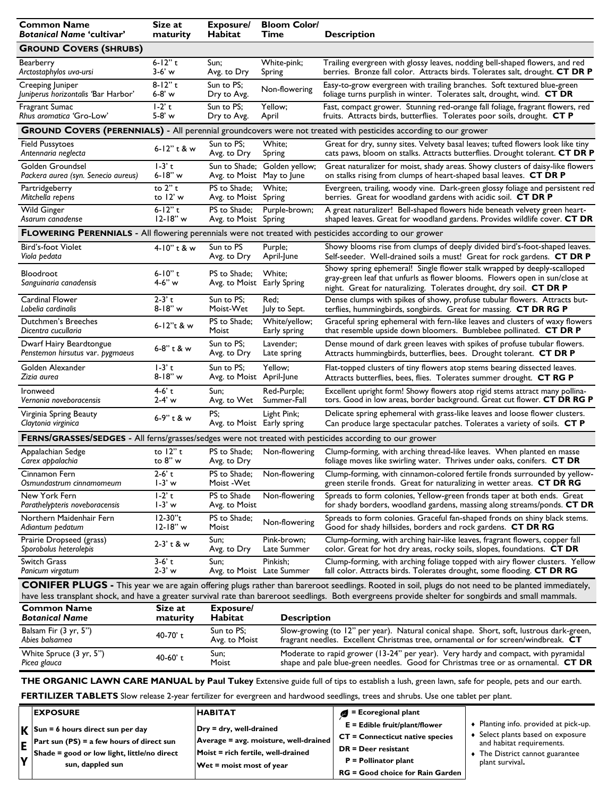| <b>Common Name</b><br><b>Botanical Name 'cultivar'</b>                                                                                        | Size at<br>maturity   | Exposure/<br>Habitat                       | <b>Bloom Color/</b><br>Time<br><b>Description</b>                                  |                                                                                                                                                                                                                                                                                                                     |  |
|-----------------------------------------------------------------------------------------------------------------------------------------------|-----------------------|--------------------------------------------|------------------------------------------------------------------------------------|---------------------------------------------------------------------------------------------------------------------------------------------------------------------------------------------------------------------------------------------------------------------------------------------------------------------|--|
| <b>GROUND COVERS (SHRUBS)</b>                                                                                                                 |                       |                                            |                                                                                    |                                                                                                                                                                                                                                                                                                                     |  |
| Bearberry                                                                                                                                     | $6 - 12$ " t          | Sun;                                       | White-pink;                                                                        | Trailing evergreen with glossy leaves, nodding bell-shaped flowers, and red                                                                                                                                                                                                                                         |  |
| Arctostaphylos uva-ursi                                                                                                                       | 3-6' w                | Avg. to Dry                                | Spring                                                                             | berries. Bronze fall color. Attracts birds. Tolerates salt, drought. CT DR P                                                                                                                                                                                                                                        |  |
| Creeping Juniper                                                                                                                              | $8 - 12"$ t           | Sun to PS:                                 | Non-flowering                                                                      | Easy-to-grow evergreen with trailing branches. Soft textured blue-green                                                                                                                                                                                                                                             |  |
| Juniperus horizontalis 'Bar Harbor'                                                                                                           | 6-8' w                | Dry to Avg.                                |                                                                                    | foliage turns purplish in winter. Tolerates salt, drought, wind. CT DR                                                                                                                                                                                                                                              |  |
| Fragrant Sumac                                                                                                                                | $1-2$ <sup>t</sup>    | Sun to PS:                                 | Yellow;                                                                            | Fast, compact grower. Stunning red-orange fall foliage, fragrant flowers, red                                                                                                                                                                                                                                       |  |
| Rhus aromatica 'Gro-Low'                                                                                                                      | 5-8' w                | Dry to Avg.                                | April                                                                              | fruits. Attracts birds, butterflies. Tolerates poor soils, drought. CT P                                                                                                                                                                                                                                            |  |
|                                                                                                                                               |                       |                                            |                                                                                    | GROUND COVERS (PERENNIALS) - All perennial groundcovers were not treated with pesticides according to our grower                                                                                                                                                                                                    |  |
| <b>Field Pussytoes</b>                                                                                                                        | 6-12" t & w           | Sun to PS;                                 | White;                                                                             | Great for dry, sunny sites. Velvety basal leaves; tufted flowers look like tiny                                                                                                                                                                                                                                     |  |
| Antennaria neglecta                                                                                                                           |                       | Avg. to Dry                                | Spring                                                                             | cats paws, bloom on stalks. Attracts butterflies. Drought tolerant. CT DR P                                                                                                                                                                                                                                         |  |
| Golden Groundsel<br>Packera aurea (syn. Senecio aureus)                                                                                       | $1-3'$ t<br>6-18" w   | Avg. to Moist May to June                  | Sun to Shade; Golden yellow;                                                       | Great naturalizer for moist, shady areas. Showy clusters of daisy-like flowers<br>on stalks rising from clumps of heart-shaped basal leaves. CT DR P                                                                                                                                                                |  |
| Partridgeberry                                                                                                                                | to 2" t               | PS to Shade:                               | White:                                                                             | Evergreen, trailing, woody vine. Dark-green glossy foliage and persistent red                                                                                                                                                                                                                                       |  |
| Mitchella repens                                                                                                                              | to 12' w              | Avg. to Moist Spring                       |                                                                                    | berries. Great for woodland gardens with acidic soil. CT DR P                                                                                                                                                                                                                                                       |  |
| <b>Wild Ginger</b>                                                                                                                            | $6 - 12" t$           | PS to Shade:                               | Purple-brown;                                                                      | A great naturalizer! Bell-shaped flowers hide beneath velvety green heart-                                                                                                                                                                                                                                          |  |
| Asarum canadense                                                                                                                              | $12-18"w$             | Avg. to Moist Spring                       |                                                                                    | shaped leaves. Great for woodland gardens. Provides wildlife cover. CT DR                                                                                                                                                                                                                                           |  |
| FLOWERING PERENNIALS - All flowering perennials were not treated with pesticides according to our grower                                      |                       |                                            |                                                                                    |                                                                                                                                                                                                                                                                                                                     |  |
| Bird's-foot Violet                                                                                                                            | 4-10" t & w           | Sun to PS                                  | Purple;                                                                            | Showy blooms rise from clumps of deeply divided bird's-foot-shaped leaves.                                                                                                                                                                                                                                          |  |
| Viola pedata                                                                                                                                  |                       | Avg. to Dry                                | April-June                                                                         | Self-seeder. Well-drained soils a must! Great for rock gardens. CT DR P                                                                                                                                                                                                                                             |  |
| Bloodroot<br>Sanguinaria canadensis                                                                                                           | $6 - 10" t$<br>4-6" w | PS to Shade;<br>Avg. to Moist Early Spring | White;                                                                             | Showy spring ephemeral! Single flower stalk wrapped by deeply-scalloped<br>gray-green leaf that unfurls as flower blooms. Flowers open in sun/close at<br>night. Great for naturalizing. Tolerates drought, dry soil. CT DR P                                                                                       |  |
| Cardinal Flower                                                                                                                               | $2-3'$ t              | Sun to PS:                                 | Red;                                                                               | Dense clumps with spikes of showy, profuse tubular flowers. Attracts but-                                                                                                                                                                                                                                           |  |
| Lobelia cardinalis                                                                                                                            | $8 - 18" w$           | Moist-Wet                                  | July to Sept.                                                                      | terflies, hummingbirds, songbirds. Great for massing. CT DR RG P                                                                                                                                                                                                                                                    |  |
| Dutchmen's Breeches                                                                                                                           | 6-12"t & w            | PS to Shade;                               | White/yellow;                                                                      | Graceful spring ephemeral with fern-like leaves and clusters of waxy flowers                                                                                                                                                                                                                                        |  |
| Dicentra cucullaria                                                                                                                           |                       | Moist                                      | Early spring                                                                       | that resemble upside down bloomers. Bumblebee pollinated. CT DR P                                                                                                                                                                                                                                                   |  |
| Dwarf Hairy Beardtongue                                                                                                                       | 6-8" t & w            | Sun to PS;                                 | Lavender;                                                                          | Dense mound of dark green leaves with spikes of profuse tubular flowers.                                                                                                                                                                                                                                            |  |
| Penstemon hirsutus var. pygmaeus                                                                                                              |                       | Avg. to Dry                                | Late spring                                                                        | Attracts hummingbirds, butterflies, bees. Drought tolerant. CT DR P                                                                                                                                                                                                                                                 |  |
| Golden Alexander                                                                                                                              | $1-3$ 't              | Sun to PS;                                 | Yellow;                                                                            | Flat-topped clusters of tiny flowers atop stems bearing dissected leaves.                                                                                                                                                                                                                                           |  |
| Zizia aurea                                                                                                                                   | $8 - 18" w$           | Avg. to Moist April-June                   |                                                                                    | Attracts butterflies, bees, flies. Tolerates summer drought. CT RG P                                                                                                                                                                                                                                                |  |
| Ironweed                                                                                                                                      | 4-6' t                | Sun;                                       | Red-Purple;                                                                        | Excellent upright form! Showy flowers atop rigid stems attract many pollina-                                                                                                                                                                                                                                        |  |
| Vernonia noveboracensis                                                                                                                       | $2-4' w$              | Avg. to Wet                                | Summer-Fall                                                                        | tors. Good in low areas, border background. Great cut flower. CT DR RG P                                                                                                                                                                                                                                            |  |
| Virginia Spring Beauty<br>Claytonia virginica                                                                                                 | 6-9" t & w            | PS;<br>Avg. to Moist Early spring          | Light Pink;                                                                        | Delicate spring ephemeral with grass-like leaves and loose flower clusters.<br>Can produce large spectacular patches. Tolerates a variety of soils. CT P                                                                                                                                                            |  |
| FERNS/GRASSES/SEDGES - All ferns/grasses/sedges were not treated with pesticides according to our grower                                      |                       |                                            |                                                                                    |                                                                                                                                                                                                                                                                                                                     |  |
| Appalachian Sedge                                                                                                                             | to $12"$ t            | PS to Shade;                               | Non-flowering                                                                      | Clump-forming, with arching thread-like leaves. When planted en masse                                                                                                                                                                                                                                               |  |
| Carex appalachia                                                                                                                              | to 8" w               | Avg. to Dry                                |                                                                                    | foliage moves like swirling water. Thrives under oaks, conifers. CT DR                                                                                                                                                                                                                                              |  |
| Cinnamon Fern                                                                                                                                 | 2-6' t                | PS to Shade;                               | Non-flowering                                                                      | Clump-forming, with cinnamon-colored fertile fronds surrounded by yellow-                                                                                                                                                                                                                                           |  |
| Osmundastrum cinnamomeum                                                                                                                      | 1-3' w                | Moist - Wet                                |                                                                                    | green sterile fronds. Great for naturalizing in wetter areas. CT DR RG                                                                                                                                                                                                                                              |  |
| New York Fern                                                                                                                                 | $1-2$ <sup>t</sup>    | PS to Shade                                | Non-flowering                                                                      | Spreads to form colonies, Yellow-green fronds taper at both ends. Great                                                                                                                                                                                                                                             |  |
| Parathelypteris noveboracensis                                                                                                                | $1-3'$ w              | Avg. to Moist                              |                                                                                    | for shady borders, woodland gardens, massing along streams/ponds. CT DR                                                                                                                                                                                                                                             |  |
| Northern Maidenhair Fern                                                                                                                      | 12-30"t               | PS to Shade;                               | Non-flowering                                                                      | Spreads to form colonies. Graceful fan-shaped fronds on shiny black stems.                                                                                                                                                                                                                                          |  |
| Adiantum pedatum                                                                                                                              | $12 - 18" w$          | Moist                                      |                                                                                    | Good for shady hillsides, borders and rock gardens. CT DR RG                                                                                                                                                                                                                                                        |  |
| Prairie Dropseed (grass)                                                                                                                      | $2-3'$ t & w          | Sun;                                       | Pink-brown;                                                                        | Clump-forming, with arching hair-like leaves, fragrant flowers, copper fall                                                                                                                                                                                                                                         |  |
| Sporobolus heterolepis                                                                                                                        |                       | Avg. to Dry                                | Late Summer                                                                        | color. Great for hot dry areas, rocky soils, slopes, foundations. CT DR                                                                                                                                                                                                                                             |  |
| Switch Grass                                                                                                                                  | 3-6' t                | Sun:                                       | Pinkish:                                                                           | Clump-forming, with arching foliage topped with airy flower clusters. Yellow                                                                                                                                                                                                                                        |  |
| Panicum virgatum                                                                                                                              | $2 - 3'$ w            |                                            | Avg. to Moist Late Summer                                                          | fall color. Attracts birds. Tolerates drought, some flooding. CT DR RG                                                                                                                                                                                                                                              |  |
|                                                                                                                                               |                       |                                            |                                                                                    | <b>CONIFER PLUGS</b> - This year we are again offering plugs rather than bareroot seedlings. Rooted in soil, plugs do not need to be planted immediately,<br>have less transplant shock, and have a greater survival rate than bareroot seedlings. Both evergreens provide shelter for songbirds and small mammals. |  |
| <b>Common Name</b><br><b>Botanical Name</b>                                                                                                   | Size at<br>maturity   | Exposure/<br>Habitat                       | <b>Description</b>                                                                 |                                                                                                                                                                                                                                                                                                                     |  |
| Balsam Fir (3 yr, 5")<br>Abies balsamea                                                                                                       | 40-70't               | Sun to PS:<br>Avg. to Moist                |                                                                                    | Slow-growing (to 12" per year). Natural conical shape. Short, soft, lustrous dark-green,<br>fragrant needles. Excellent Christmas tree, ornamental or for screen/windbreak. CT                                                                                                                                      |  |
| White Spruce (3 yr, 5")                                                                                                                       | 40-60't               | Sun;                                       | Moderate to rapid grower (13-24" per year). Very hardy and compact, with pyramidal |                                                                                                                                                                                                                                                                                                                     |  |
| Picea glauca                                                                                                                                  |                       | Moist                                      | shape and pale blue-green needles. Good for Christmas tree or as ornamental. CT DR |                                                                                                                                                                                                                                                                                                                     |  |
| THE ORGANIC LAWN CARE MANUAL by Paul Tukey Extensive guide full of tips to establish a lush, green lawn, safe for people, pets and our earth. |                       |                                            |                                                                                    |                                                                                                                                                                                                                                                                                                                     |  |
| <b>FERTILIZER TABLETS</b> Slow release 2-year fertilizer for evergreen and hardwood seedlings, trees and shrubs. Use one tablet per plant.    |                       |                                            |                                                                                    |                                                                                                                                                                                                                                                                                                                     |  |
|                                                                                                                                               |                       |                                            |                                                                                    |                                                                                                                                                                                                                                                                                                                     |  |

|          | <b>EXPOSURE</b>                                                                                       | <b>HABITAT</b>                        | $\blacksquare$ = Ecoregional plant      |                                                              |
|----------|-------------------------------------------------------------------------------------------------------|---------------------------------------|-----------------------------------------|--------------------------------------------------------------|
|          | $\mathbf{K}$ Sun = 6 hours direct sun per day                                                         | $Dry = dry$ , well-drained            | $E =$ Edible fruit/plant/flower         | Planting info. provided at pick-up.                          |
|          |                                                                                                       | Average = avg. moisture, well-drained | <b>CT = Connecticut native species</b>  | Select plants based on exposure<br>and habitat requirements. |
|          | $\mathbf{E}$ Part sun (PS) = a few hours of direct sun<br>Shade = good or low light, little/no direct | Moist = rich fertile, well-drained    | $DR = Deer$ resistant                   | The District cannot guarantee                                |
| <b>v</b> | sun, dappled sun                                                                                      | $Wet = moist most of year$            | $P =$ Pollinator plant                  | plant survival.                                              |
|          |                                                                                                       |                                       | <b>RG = Good choice for Rain Garden</b> |                                                              |